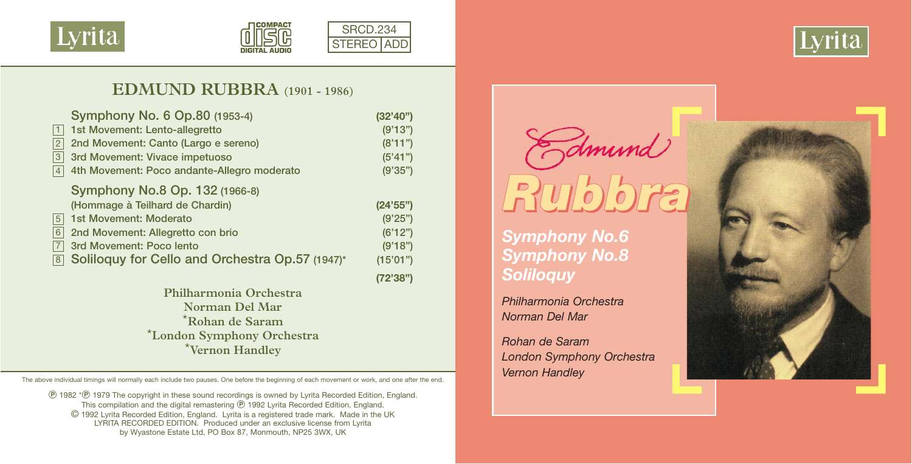





## **EDMUND RUBBRA (1901 - 1986)**

|                             | Symphony No. 6 Op.80 (1953-4)                   | (32'40'') |
|-----------------------------|-------------------------------------------------|-----------|
| 1                           | 1st Movement: Lento-allegretto                  | (9'13'')  |
|                             | 2nd Movement: Canto (Largo e sereno)            | (8'11'')  |
| $\frac{2}{3}$ $\frac{3}{4}$ | 3rd Movement: Vivace impetuoso                  | (5'41'')  |
|                             | 4th Movement: Poco andante-Allegro moderato     | (9'35")   |
|                             | Symphony No.8 Op. 132 (1966-8)                  |           |
|                             | (Hommage à Teilhard de Chardin)                 | (24'55'') |
| $\overline{5}$              | 1st Movement: Moderato                          | (9'25")   |
| $\overline{6}$              | 2nd Movement: Allegretto con brio               | (6'12'')  |
| $\overline{7}$              | 3rd Movement: Poco lento                        | (9'18")   |
| 8                           | Soliloquy for Cello and Orchestra Op.57 (1947)* | (15'01'') |
|                             |                                                 | (72'38'') |
|                             | Philharmonia Orchestra                          |           |
|                             | Norman Del Mar                                  |           |
|                             | *Rohan de Saram                                 |           |
|                             | *London Symphony Orchestra                      |           |
|                             | *Vernon Handley                                 |           |

The above individual timings will normally each include two pauses. One before the beginning of each movement or work, and one after the end.

 1982 \* 1979 The copyright in these sound recordings is owned by Lyrita Recorded Edition, England. This compilation and the digital remastering  $\overline{D}$  1992 Lyrita Recorded Edition, England. © 1992 Lyrita Recorded Edition, England. Lyrita is a registered trade mark. Made in the UK LYRITA RECORDED EDITION. Produced under an exclusive license from Lyrita by Wyastone Estate Ltd, PO Box 87, Monmouth, NP25 3WX, UK



*Symphony No.6 Symphony No.8 Soliloquy*

*Philharmonia Orchestra Norman Del Mar*

*Rohan de Saram London Symphony Orchestra Vernon Handley*



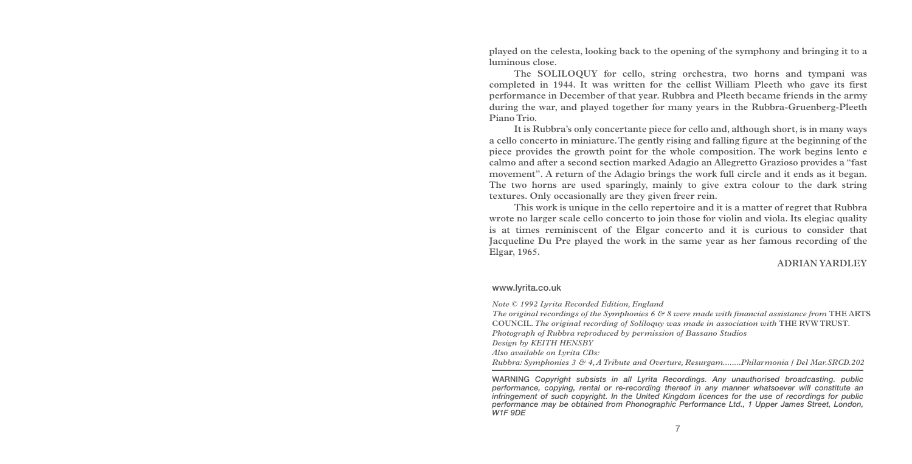**played on the celesta, looking back to the opening of the symphony and bringing it to a luminous close.**

**The SOLILOQUY for cello, string orchestra, two horns and tympani was completed in 1944. It was written for the cellist William Pleeth who gave its first performance in December of that year. Rubbra and Pleeth became friends in the army during the war, and played together for many years in the Rubbra-Gruenberg-Pleeth Piano Trio.**

**It is Rubbra's only concertante piece for cello and, although short, is in many ways a cello concerto in miniature.The gently rising and falling figure at the beginning of the piece provides the growth point for the whole composition. The work begins lento e calmo and after a second section marked Adagio an Allegretto Grazioso provides a "fast movement". A return of the Adagio brings the work full circle and it ends as it began. The two horns are used sparingly, mainly to give extra colour to the dark string textures. Only occasionally are they given freer rein.**

**This work is unique in the cello repertoire and it is a matter of regret that Rubbra wrote no larger scale cello concerto to join those for violin and viola. Its elegiac quality is at times reminiscent of the Elgar concerto and it is curious to consider that Jacqueline Du Pre played the work in the same year as her famous recording of the Elgar, 1965.**

## **ADRIAN YARDLEY**

## **www.lyrita.co.uk**

*Note © 1992 Lyrita Recorded Edition, England* 

*The original recordings of the Symphonies 6 & 8 were made with financial assistance from* **THE ARTS COUNCIL***.The original recording of Soliloquy was made in association with* **THE RVW TRUST***. Photograph of Rubbra reproduced by permission of Bassano Studios Design by KEITH HENSBY Also available on Lyrita CDs: Rubbra: Symphonies 3 & 4, A Tribute and Overture, Resurgam........Philarmonia / Del Mar.SRCD.202*

**WARNING** *Copyright subsists in all Lyrita Recordings. Any unauthorised broadcasting. public performance, copying, rental or re-recording thereof in any manner whatsoever will constitute an infringement of such copyright. In the United Kingdom licences for the use of recordings for public performance may be obtained from Phonographic Performance Ltd., 1 Upper James Street, London, W1F 9DE*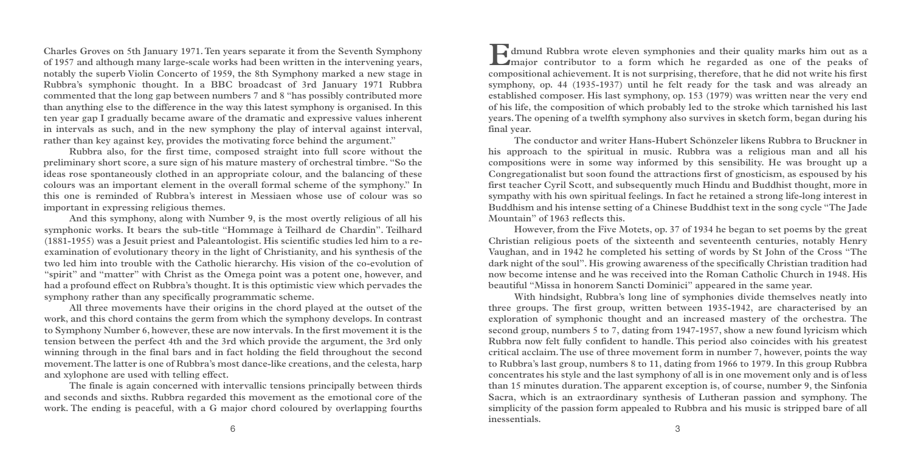**Charles Groves on 5th January 1971. Ten years separate it from the Seventh Symphony of 1957 and although many large-scale works had been written in the intervening years, E notably the superb Violin Concerto of 1959, the 8th Symphony marked a new stage in Rubbra's symphonic thought. In a BBC broadcast of 3rd January 1971 Rubbra commented that the long gap between numbers 7 and 8 "has possibly contributed more than anything else to the difference in the way this latest symphony is organised. In this ten year gap I gradually became aware of the dramatic and expressive values inherent in intervals as such, and in the new symphony the play of interval against interval, rather than key against key, provides the motivating force behind the argument."**

**Rubbra also, for the first time, composed straight into full score without the preliminary short score, a sure sign of his mature mastery of orchestral timbre. "So the ideas rose spontaneously clothed in an appropriate colour, and the balancing of these colours was an important element in the overall formal scheme of the symphony." In this one is reminded of Rubbra's interest in Messiaen whose use of colour was so important in expressing religious themes.**

**And this symphony, along with Number 9, is the most overtly religious of all his symphonic works. It bears the sub-title "Hommage à Teilhard de Chardin". Teilhard (1881-1955) was a Jesuit priest and Paleantologist. His scientific studies led him to a reexamination of evolutionary theory in the light of Christianity, and his synthesis of the two led him into trouble with the Catholic hierarchy. His vision of the co-evolution of "spirit" and "matter" with Christ as the Omega point was a potent one, however, and had a profound effect on Rubbra's thought. It is this optimistic view which pervades the symphony rather than any specifically programmatic scheme.**

**All three movements have their origins in the chord played at the outset of the work, and this chord contains the germ from which the symphony develops. In contrast to Symphony Number 6, however, these are now intervals. In the first movement it is the tension between the perfect 4th and the 3rd which provide the argument, the 3rd only winning through in the final bars and in fact holding the field throughout the second movement.The latter is one of Rubbra's most dance-like creations, and the celesta, harp and xylophone are used with telling effect.**

**The finale is again concerned with intervallic tensions principally between thirds and seconds and sixths. Rubbra regarded this movement as the emotional core of the work. The ending is peaceful, with a G major chord coloured by overlapping fourths**

**dmund Rubbra wrote eleven symphonies and their quality marks him out as a <u></u><b>major** contributor to a form which he regarded as one of the peaks of **compositional achievement. It is not surprising, therefore, that he did not write his first symphony, op. 44 (1935-1937) until he felt ready for the task and was already an established composer. His last symphony, op. 153 (1979) was written near the very end of his life, the composition of which probably led to the stroke which tarnished his last years.The opening of a twelfth symphony also survives in sketch form, began during his final year.**

**The conductor and writer Hans-Hubert Schönzeler likens Rubbra to Bruckner in his approach to the spiritual in music. Rubbra was a religious man and all his compositions were in some way informed by this sensibility. He was brought up a Congregationalist but soon found the attractions first of gnosticism, as espoused by his first teacher Cyril Scott, and subsequently much Hindu and Buddhist thought, more in sympathy with his own spiritual feelings. In fact he retained a strong life-long interest in Buddhism and his intense setting of a Chinese Buddhist text in the song cycle "The Jade Mountain" of 1963 reflects this.**

**However, from the Five Motets, op. 37 of 1934 he began to set poems by the great Christian religious poets of the sixteenth and seventeenth centuries, notably Henry Vaughan, and in 1942 he completed his setting of words by St John of the Cross "The dark night of the soul". His growing awareness of the specifically Christian tradition had now become intense and he was received into the Roman Catholic Church in 1948. His beautiful "Missa in honorem Sancti Dominici" appeared in the same year.**

**With hindsight, Rubbra's long line of symphonies divide themselves neatly into three groups. The first group, written between 1935-1942, are characterised by an exploration of symphonic thought and an increased mastery of the orchestra. The second group, numbers 5 to 7, dating from 1947-1957, show a new found lyricism which Rubbra now felt fully confident to handle. This period also coincides with his greatest critical acclaim.The use of three movement form in number 7, however, points the way to Rubbra's last group, numbers 8 to 11, dating from 1966 to 1979. In this group Rubbra concentrates his style and the last symphony of all is in one movement only and is of less than 15 minutes duration.The apparent exception is, of course, number 9, the Sinfonia Sacra, which is an extraordinary synthesis of Lutheran passion and symphony. The simplicity of the passion form appealed to Rubbra and his music is stripped bare of all inessentials.**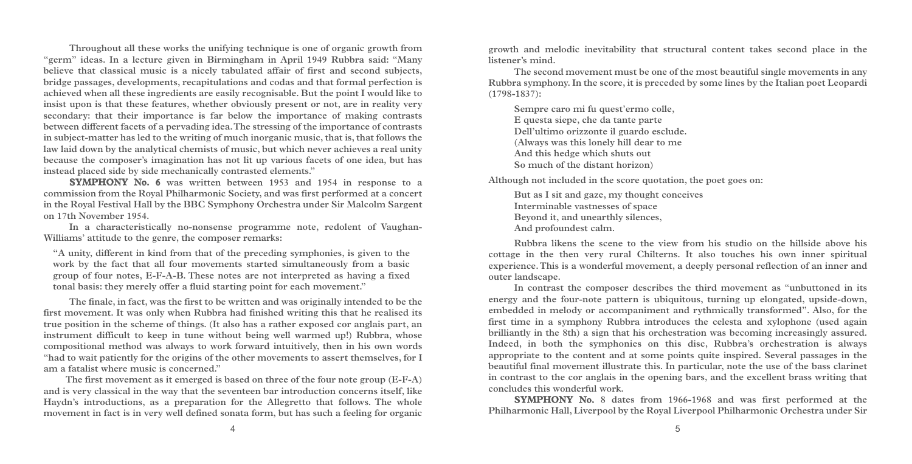**Throughout all these works the unifying technique is one of organic growth from "germ" ideas. In a lecture given in Birmingham in April 1949 Rubbra said: "Many believe that classical music is a nicely tabulated affair of first and second subjects, bridge passages, developments, recapitulations and codas and that formal perfection is achieved when all these ingredients are easily recognisable. But the point I would like to insist upon is that these features, whether obviously present or not, are in reality very secondary: that their importance is far below the importance of making contrasts between different facets of a pervading idea.The stressing of the importance of contrasts in subject-matter has led to the writing of much inorganic music, that is, that follows the law laid down by the analytical chemists of music, but which never achieves a real unity because the composer's imagination has not lit up various facets of one idea, but has instead placed side by side mechanically contrasted elements."**

**SYMPHONY No. 6 was written between 1953 and 1954 in response to a commission from the Royal Philharmonic Society, and was first performed at a concert in the Royal Festival Hall by the BBC Symphony Orchestra under Sir Malcolm Sargent on 17th November 1954.**

**In a characteristically no-nonsense programme note, redolent of Vaughan-Williams' attitude to the genre, the composer remarks:**

**"A unity, different in kind from that of the preceding symphonies, is given to the work by the fact that all four movements started simultaneously from a basic group of four notes, E-F-A-B. These notes are not interpreted as having a fixed tonal basis: they merely offer a fluid starting point for each movement."**

**The finale, in fact, was the first to be written and was originally intended to be the first movement. It was only when Rubbra had finished writing this that he realised its true position in the scheme of things. (It also has a rather exposed cor anglais part, an instrument difficult to keep in tune without being well warmed up!) Rubbra, whose compositional method was always to work forward intuitively, then in his own words "had to wait patiently for the origins of the other movements to assert themselves, for I am a fatalist where music is concerned."**

**The first movement as it emerged is based on three of the four note group (E-F-A) and is very classical in the way that the seventeen bar introduction concerns itself, like Haydn's introductions, as a preparation for the Allegretto that follows. The whole movement in fact is in very well defined sonata form, but has such a feeling for organic**

**growth and melodic inevitability that structural content takes second place in the listener's mind.**

**The second movement must be one of the most beautiful single movements in any Rubbra symphony. In the score, it is preceded by some lines by the Italian poet Leopardi (1798-1837):**

**Sempre caro mi fu quest'ermo colle, E questa siepe, che da tante parte Dell'ultimo orizzonte il guardo esclude. (Always was this lonely hill dear to me And this hedge which shuts out So much of the distant horizon)**

**Although not included in the score quotation, the poet goes on:**

**But as I sit and gaze, my thought conceives Interminable vastnesses of space Beyond it, and unearthly silences, And profoundest calm.**

**Rubbra likens the scene to the view from his studio on the hillside above his cottage in the then very rural Chilterns. It also touches his own inner spiritual experience.This is a wonderful movement, a deeply personal reflection of an inner and outer landscape.**

**In contrast the composer describes the third movement as "unbuttoned in its energy and the four-note pattern is ubiquitous, turning up elongated, upside-down, embedded in melody or accompaniment and rythmically transformed". Also, for the first time in a symphony Rubbra introduces the celesta and xylophone (used again brilliantly in the 8th) a sign that his orchestration was becoming increasingly assured. Indeed, in both the symphonies on this disc, Rubbra's orchestration is always appropriate to the content and at some points quite inspired. Several passages in the beautiful final movement illustrate this. In particular, note the use of the bass clarinet in contrast to the cor anglais in the opening bars, and the excellent brass writing that concludes this wonderful work.**

**SYMPHONY No. 8 dates from 1966-1968 and was first performed at the Philharmonic Hall, Liverpool by the Royal Liverpool Philharmonic Orchestra under Sir**